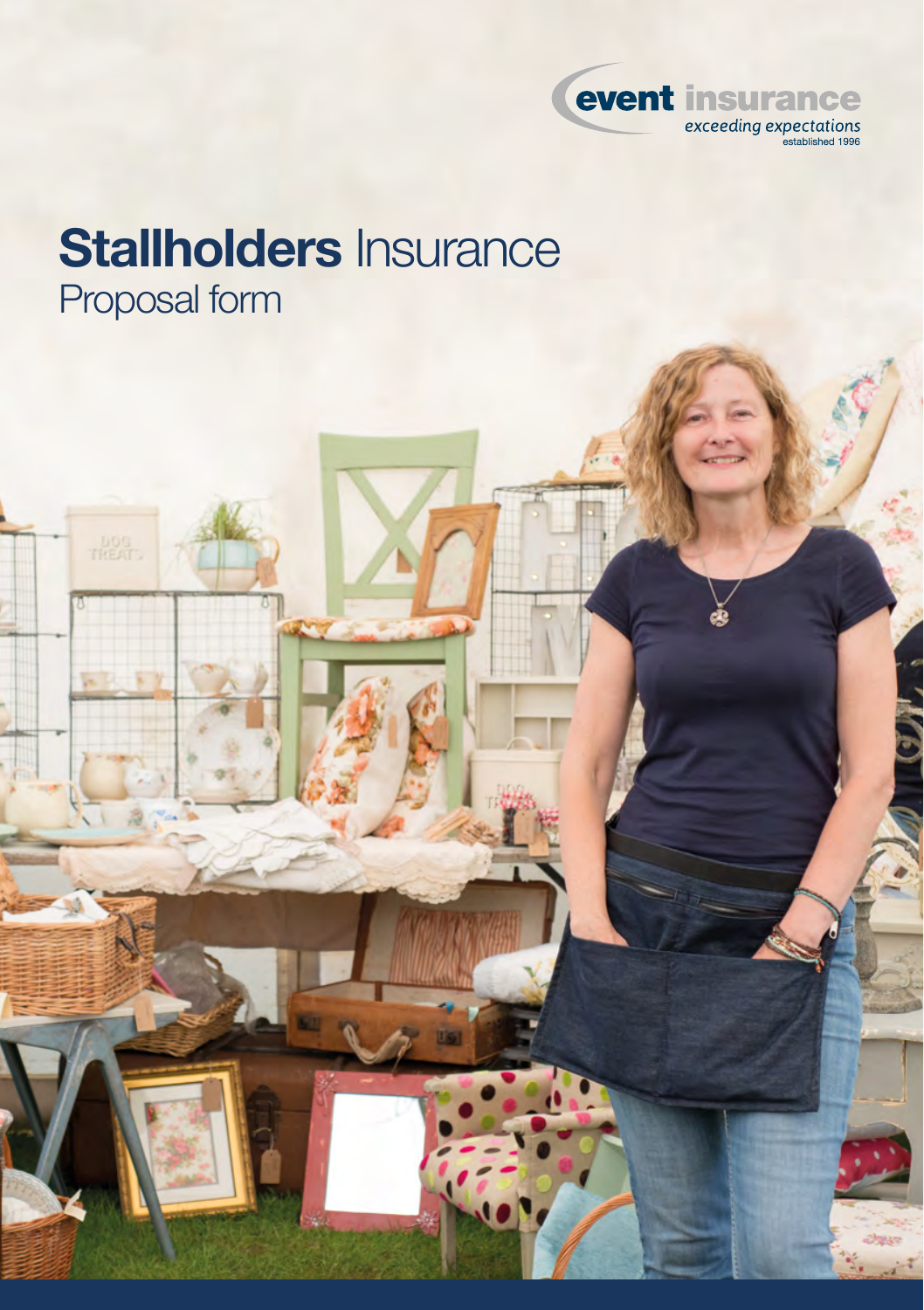

# **Stallholders** Insurance Proposal form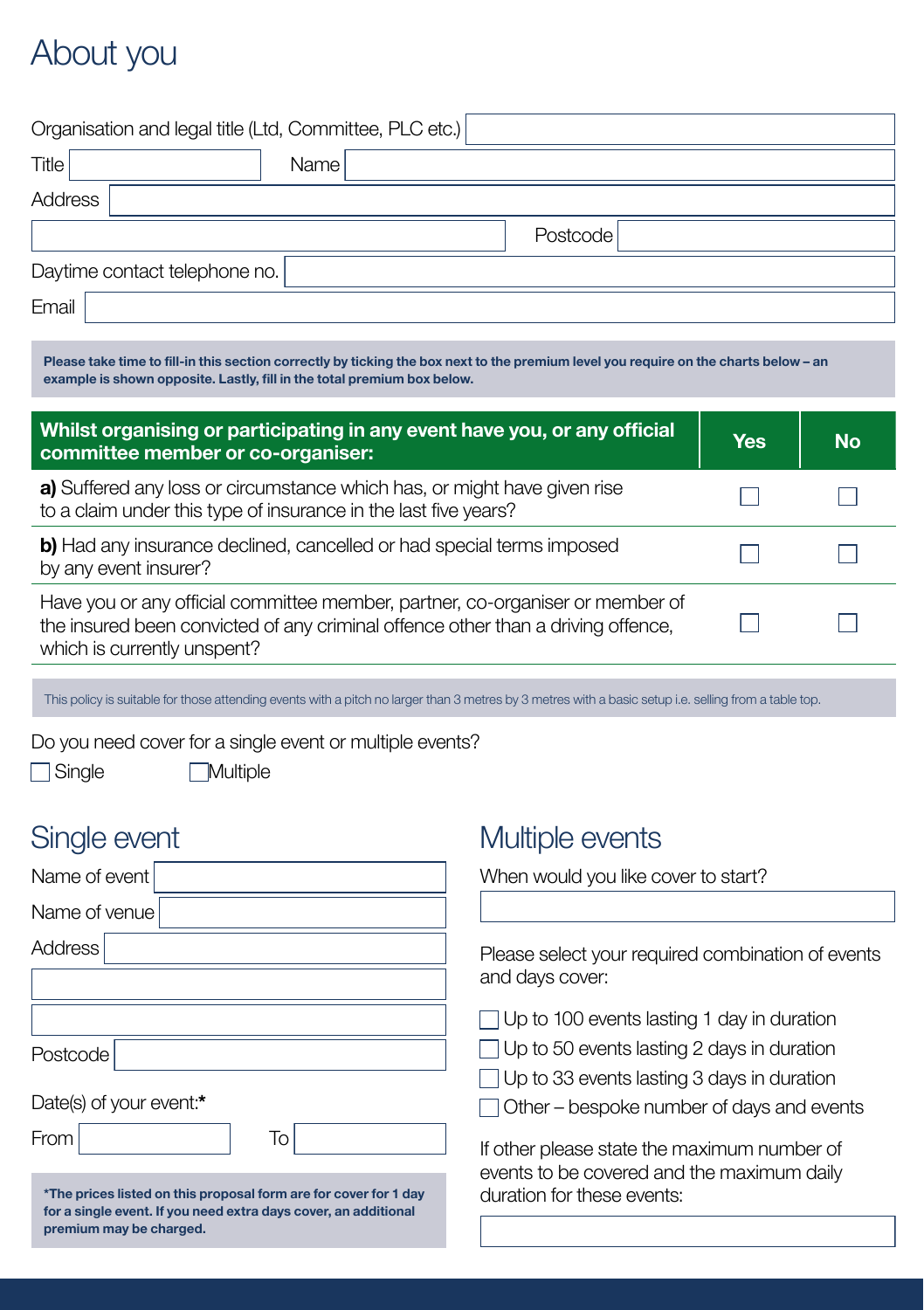## About you

|                               | Organisation and legal title (Ltd, Committee, PLC etc.) |          |
|-------------------------------|---------------------------------------------------------|----------|
| Title                         | Name I                                                  |          |
| Address                       |                                                         |          |
|                               |                                                         | Postcode |
| Daytime contact telephone no. |                                                         |          |
| Email                         |                                                         |          |

**Please take time to fill-in this section correctly by ticking the box next to the premium level you require on the charts below – an example is shown opposite. Lastly, fill in the total premium box below.**

| Whilst organising or participating in any event have you, or any official<br>committee member or co-organiser:                                                                                   |  | <b>No</b> |
|--------------------------------------------------------------------------------------------------------------------------------------------------------------------------------------------------|--|-----------|
| a) Suffered any loss or circumstance which has, or might have given rise<br>to a claim under this type of insurance in the last five years?                                                      |  |           |
| b) Had any insurance declined, cancelled or had special terms imposed<br>by any event insurer?                                                                                                   |  |           |
| Have you or any official committee member, partner, co-organiser or member of<br>the insured been convicted of any criminal offence other than a driving offence,<br>which is currently unspent? |  |           |

This policy is suitable for those attending events with a pitch no larger than 3 metres by 3 metres with a basic setup i.e. selling from a table top.

Do you need cover for a single event or multiple events?

□ Single **Multiple** 

### Single event

| Name of event                                                                                                                                                  |  |  |
|----------------------------------------------------------------------------------------------------------------------------------------------------------------|--|--|
| Name of venue                                                                                                                                                  |  |  |
| Address                                                                                                                                                        |  |  |
|                                                                                                                                                                |  |  |
|                                                                                                                                                                |  |  |
| Postcode                                                                                                                                                       |  |  |
| Date(s) of your event:*                                                                                                                                        |  |  |
| From<br>To                                                                                                                                                     |  |  |
| *The prices listed on this proposal form are for cover for 1 day<br>for a single event. If you need extra days cover, an additional<br>premium may be charged. |  |  |

### Multiple events

When would you like cover to start?

Please select your required combination of events and days cover:

 $\Box$  Up to 100 events lasting 1 day in duration

 $\Box$  Up to 50 events lasting 2 days in duration

 $\Box$  Up to 33 events lasting 3 days in duration

 $\Box$  Other – bespoke number of days and events

If other please state the maximum number of events to be covered and the maximum daily duration for these events: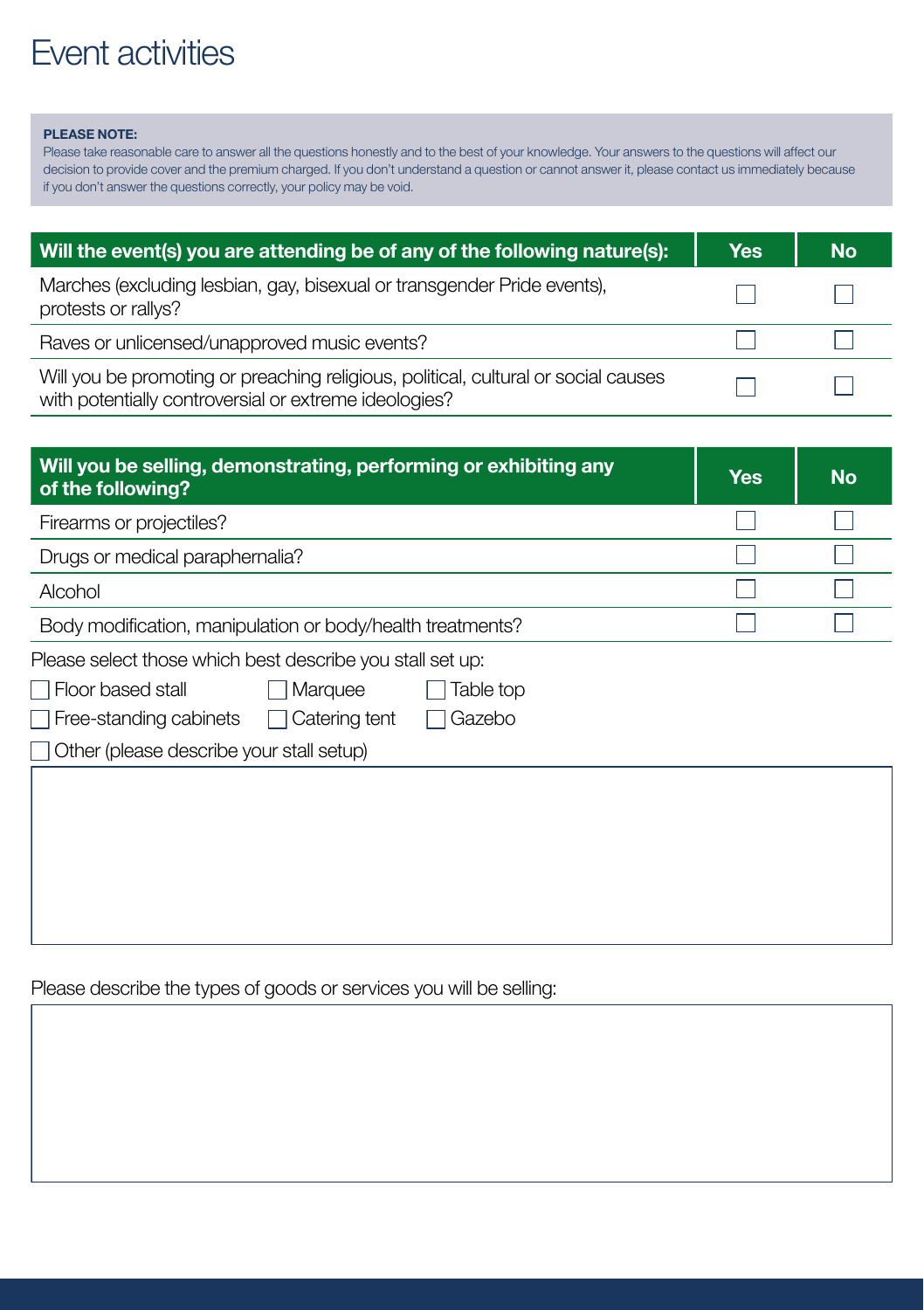## Event activities

#### **PLEASE NOTE:**

Please take reasonable care to answer all the questions honestly and to the best of your knowledge. Your answers to the questions will affect our decision to provide cover and the premium charged. If you don't understand a question or cannot answer it, please contact us immediately because if you don't answer the questions correctly, your policy may be void.

| Will the event(s) you are attending be of any of the following nature(s):                                                                   |  | <b>No</b> |
|---------------------------------------------------------------------------------------------------------------------------------------------|--|-----------|
| Marches (excluding lesbian, gay, bisexual or transgender Pride events),<br>protests or rallys?                                              |  |           |
| Raves or unlicensed/unapproved music events?                                                                                                |  |           |
| Will you be promoting or preaching religious, political, cultural or social causes<br>with potentially controversial or extreme ideologies? |  |           |

| Will you be selling, demonstrating, performing or exhibiting any<br>of the following? |  | <b>No</b> |
|---------------------------------------------------------------------------------------|--|-----------|
| Firearms or projectiles?                                                              |  |           |
| Drugs or medical paraphernalia?                                                       |  |           |
| Alcohol                                                                               |  |           |
| Body modification, manipulation or body/health treatments?                            |  |           |
| Please select those which best describe you stall set up:                             |  |           |
| <b>Floor based stall</b><br>Marquee<br>Table top                                      |  |           |
| $\Box$ Free-standing cabinets<br>Catering tent<br>Gazebo                              |  |           |
| Other (please describe your stall setup)                                              |  |           |
|                                                                                       |  |           |
|                                                                                       |  |           |
|                                                                                       |  |           |

Please describe the types of goods or services you will be selling: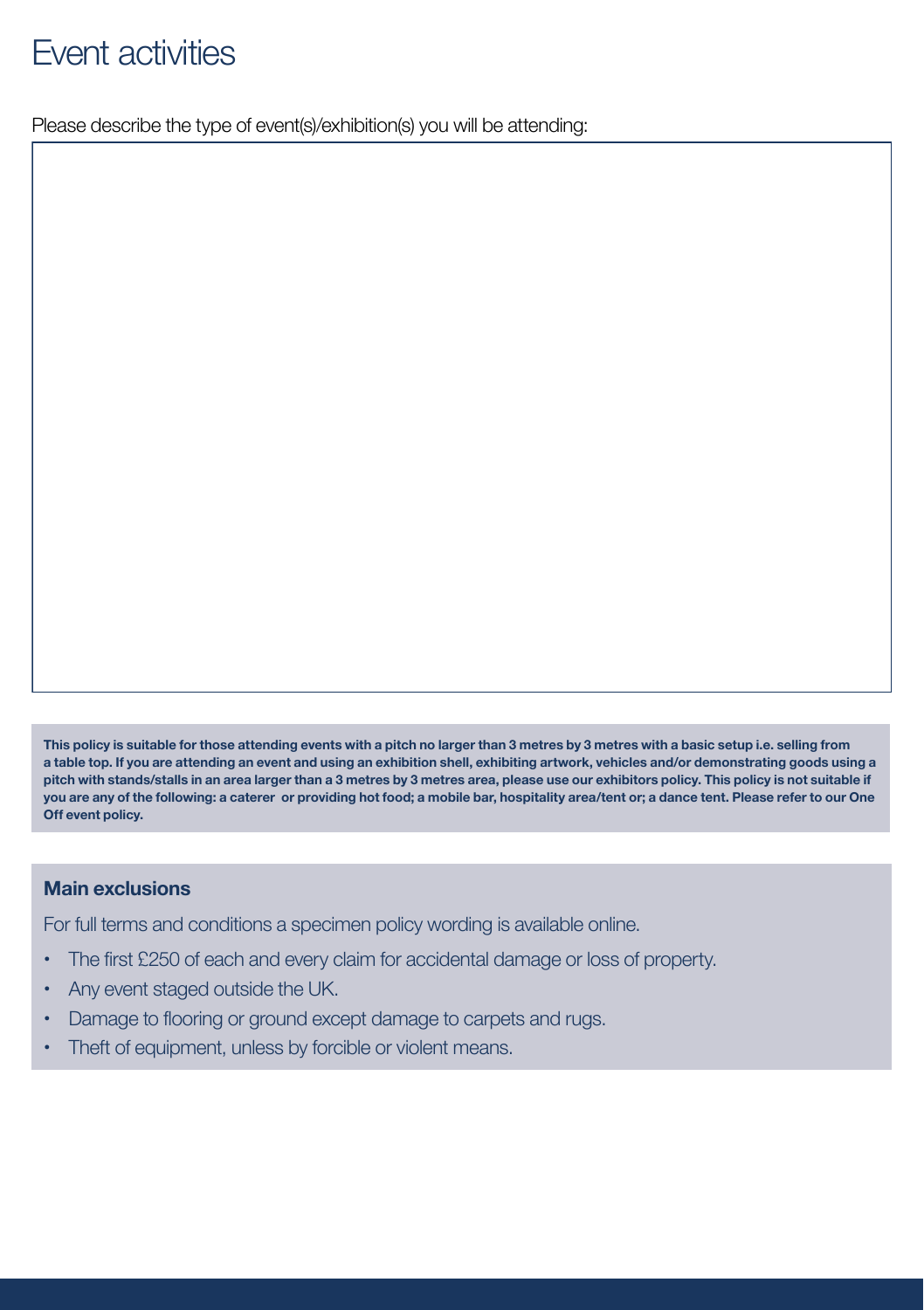## Event activities

Please describe the type of event(s)/exhibition(s) you will be attending:

**This policy is suitable for those attending events with a pitch no larger than 3 metres by 3 metres with a basic setup i.e. selling from a table top. If you are attending an event and using an exhibition shell, exhibiting artwork, vehicles and/or demonstrating goods using a pitch with stands/stalls in an area larger than a 3 metres by 3 metres area, please use our exhibitors policy. This policy is not suitable if you are any of the following: a caterer or providing hot food; a mobile bar, hospitality area/tent or; a dance tent. Please refer to our One Off event policy.**

#### **Main exclusions**

For full terms and conditions a specimen policy wording is available online.

- **•**  The first £250 of each and every claim for accidental damage or loss of property.
- **•**  Any event staged outside the UK.
- Damage to flooring or ground except damage to carpets and rugs.
- Theft of equipment, unless by forcible or violent means.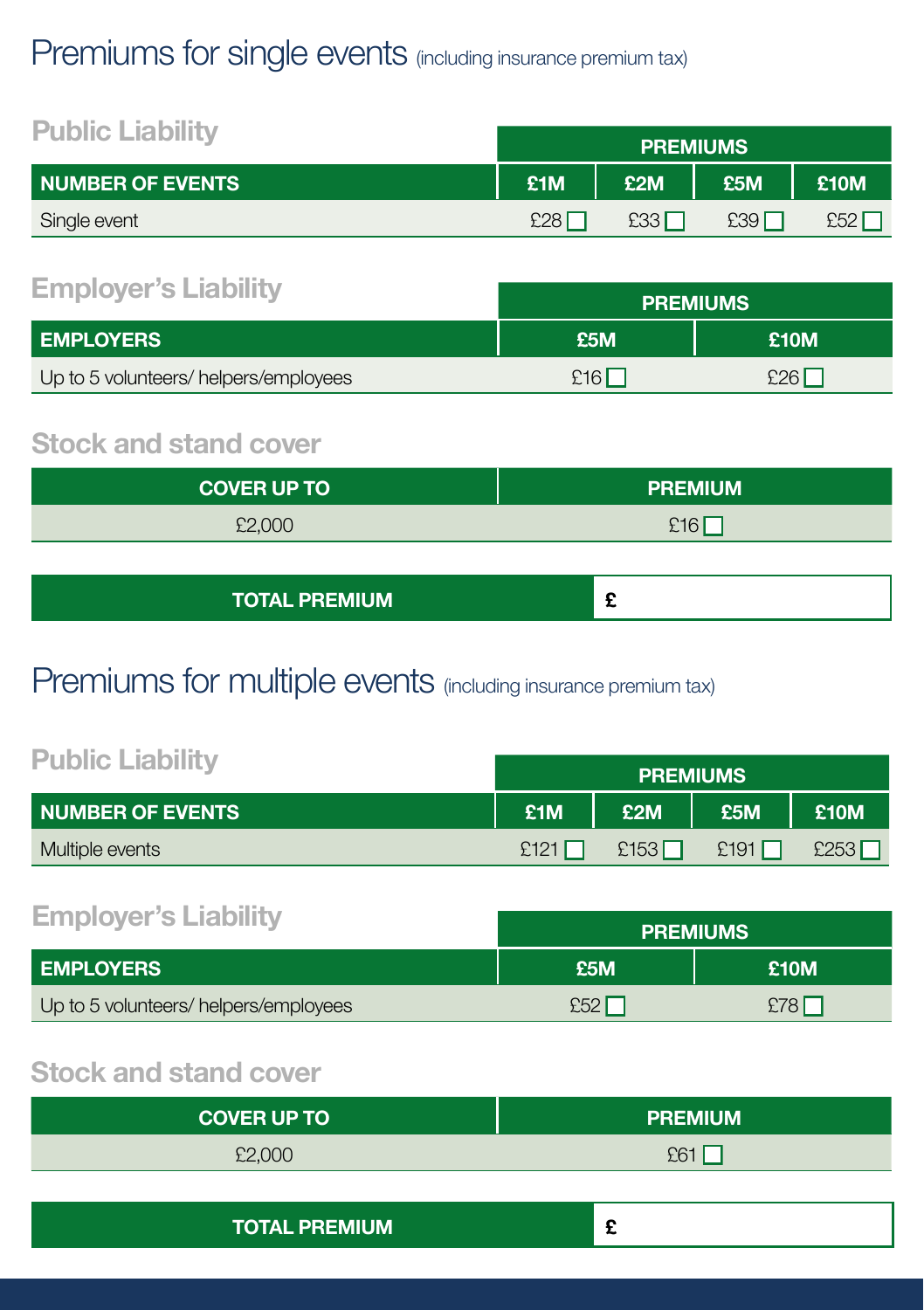## Premiums for single events (including insurance premium tax)

| <b>Public Liability</b> | <b>PREMIUMS</b> |     |                  |             |
|-------------------------|-----------------|-----|------------------|-------------|
| <b>NUMBER OF EVENTS</b> | £1M             | £2M | £5M              | <b>E10M</b> |
| Single event            | £28             | E33 | £39 <sup>′</sup> | £52         |

### **Employer's Liability**

|                                      | <b>FILMIUMJ</b> |       |  |
|--------------------------------------|-----------------|-------|--|
| <b>LEMPLOYERS</b>                    | £5M.            | £10M  |  |
| Up to 5 volunteers/helpers/employees | £16'            | £26 I |  |

### **Stock and stand cover**

| <b>COVER UP TO</b> | <b>PREMIUM</b> |  |  |
|--------------------|----------------|--|--|
| £2,000             | £16            |  |  |

| <b>TOTAL PREMIUM</b> |  |
|----------------------|--|
|----------------------|--|

**PREMIUMS** 

## Premiums for multiple events (including insurance premium tax)

| <b>Public Liability</b>   |      | <b>PREMIUMS</b> |      |      |
|---------------------------|------|-----------------|------|------|
| <b>I NUMBER OF EVENTS</b> | £1M  | £2M             | £5M  | £10M |
| Multiple events           | £121 | £153            | £191 | £253 |

### **Employer's Liability**

|                                      | <b>PREMIUMS</b> |      |  |
|--------------------------------------|-----------------|------|--|
| <b>EMPLOYERS</b>                     | £5M             | £10M |  |
| Up to 5 volunteers/helpers/employees | £52             | £78I |  |

### **Stock and stand cover**

| <b>COVER UP TO</b> | <b>PREMIUM</b>  |
|--------------------|-----------------|
| £2,000             | E6 <sup>1</sup> |

| <b>TOTAL PREMIUM</b> |  |
|----------------------|--|
|----------------------|--|